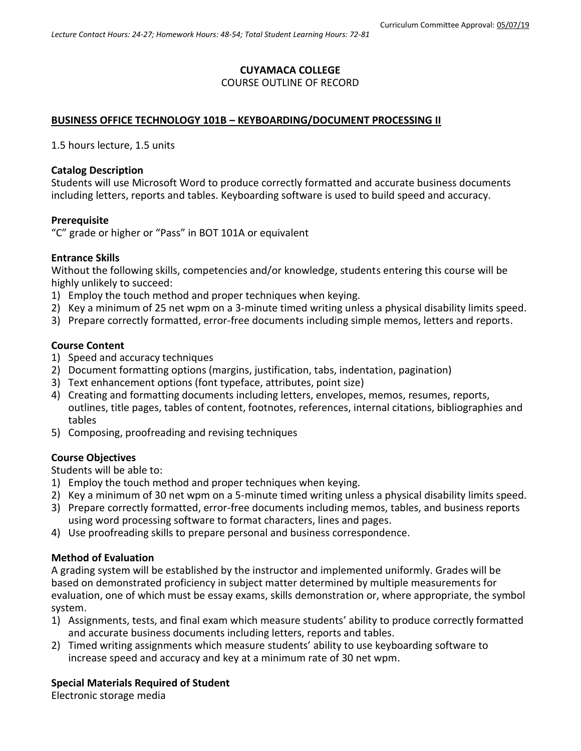# **CUYAMACA COLLEGE**

## COURSE OUTLINE OF RECORD

## **BUSINESS OFFICE TECHNOLOGY 101B – KEYBOARDING/DOCUMENT PROCESSING II**

1.5 hours lecture, 1.5 units

#### **Catalog Description**

Students will use Microsoft Word to produce correctly formatted and accurate business documents including letters, reports and tables. Keyboarding software is used to build speed and accuracy.

#### **Prerequisite**

"C" grade or higher or "Pass" in BOT 101A or equivalent

#### **Entrance Skills**

Without the following skills, competencies and/or knowledge, students entering this course will be highly unlikely to succeed:

- 1) Employ the touch method and proper techniques when keying.
- 2) Key a minimum of 25 net wpm on a 3-minute timed writing unless a physical disability limits speed.
- 3) Prepare correctly formatted, error-free documents including simple memos, letters and reports.

#### **Course Content**

- 1) Speed and accuracy techniques
- 2) Document formatting options (margins, justification, tabs, indentation, pagination)
- 3) Text enhancement options (font typeface, attributes, point size)
- 4) Creating and formatting documents including letters, envelopes, memos, resumes, reports, outlines, title pages, tables of content, footnotes, references, internal citations, bibliographies and tables
- 5) Composing, proofreading and revising techniques

#### **Course Objectives**

Students will be able to:

- 1) Employ the touch method and proper techniques when keying.
- 2) Key a minimum of 30 net wpm on a 5-minute timed writing unless a physical disability limits speed.
- 3) Prepare correctly formatted, error-free documents including memos, tables, and business reports using word processing software to format characters, lines and pages.
- 4) Use proofreading skills to prepare personal and business correspondence.

#### **Method of Evaluation**

A grading system will be established by the instructor and implemented uniformly. Grades will be based on demonstrated proficiency in subject matter determined by multiple measurements for evaluation, one of which must be essay exams, skills demonstration or, where appropriate, the symbol system.

- 1) Assignments, tests, and final exam which measure students' ability to produce correctly formatted and accurate business documents including letters, reports and tables.
- 2) Timed writing assignments which measure students' ability to use keyboarding software to increase speed and accuracy and key at a minimum rate of 30 net wpm.

#### **Special Materials Required of Student**

Electronic storage media